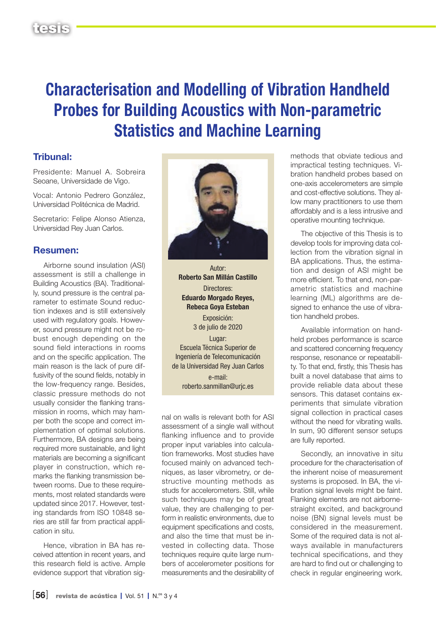## Characterisation and Modelling of Vibration Handheld Probes for Building Acoustics with Non-parametric Statistics and Machine Learning

## Tribunal:

Presidente: Manuel A. Sobreira Seoane, Universidade de Vigo.

Vocal: Antonio Pedrero González, Universidad Politécnica de Madrid.

Secretario: Felipe Alonso Atienza, Universidad Rey Juan Carlos.

## Resumen:

Airborne sound insulation (ASI) assessment is still a challenge in Building Acoustics (BA). Traditionally, sound pressure is the central parameter to estimate Sound reduction indexes and is still extensively used with regulatory goals. However, sound pressure might not be robust enough depending on the sound field interactions in rooms and on the specific application. The main reason is the lack of pure diffusivity of the sound fields, notably in the low-frequency range. Besides, classic pressure methods do not usually consider the flanking transmission in rooms, which may hamper both the scope and correct implementation of optimal solutions. Furthermore, BA designs are being required more sustainable, and light materials are becoming a significant player in construction, which remarks the flanking transmission between rooms. Due to these requirements, most related standards were updated since 2017. However, testing standards from ISO 10848 series are still far from practical application in situ.

Hence, vibration in BA has received attention in recent years, and this research field is active. Ample evidence support that vibration sig-



Autor: Roberto San Millán Castillo Directores: Eduardo Morgado Reyes, Rebeca Goya Esteban

> Exposición: 3 de julio de 2020

Lugar: Escuela Técnica Superior de Ingeniería de Telecomunicación de la Universidad Rey Juan Carlos e-mail: [roberto.sanmillan@urjc.es](mailto:roberto.sanmillan%40urjc.es?subject=)

nal on walls is relevant both for ASI assessment of a single wall without flanking influence and to provide proper input variables into calculation frameworks. Most studies have focused mainly on advanced techniques, as laser vibrometry, or destructive mounting methods as studs for accelerometers. Still, while such techniques may be of great value, they are challenging to perform in realistic environments, due to equipment specifications and costs, and also the time that must be invested in collecting data. Those techniques require quite large numbers of accelerometer positions for measurements and the desirability of

methods that obviate tedious and impractical testing techniques. Vibration handheld probes based on one-axis accelerometers are simple and cost-effective solutions. They allow many practitioners to use them affordably and is a less intrusive and operative mounting technique.

The objective of this Thesis is to develop tools for improving data collection from the vibration signal in BA applications. Thus, the estimation and design of ASI might be more efficient. To that end, non-parametric statistics and machine learning (ML) algorithms are designed to enhance the use of vibration handheld probes.

Available information on handheld probes performance is scarce and scattered concerning frequency response, resonance or repeatability. To that end, firstly, this Thesis has built a novel database that aims to provide reliable data about these sensors. This dataset contains experiments that simulate vibration signal collection in practical cases without the need for vibrating walls. In sum, 90 different sensor setups are fully reported.

Secondly, an innovative in situ procedure for the characterisation of the inherent noise of measurement systems is proposed. In BA, the vibration signal levels might be faint. Flanking elements are not airbornestraight excited, and background noise (BN) signal levels must be considered in the measurement. Some of the required data is not always available in manufacturers technical specifications, and they are hard to find out or challenging to check in regular engineering work.